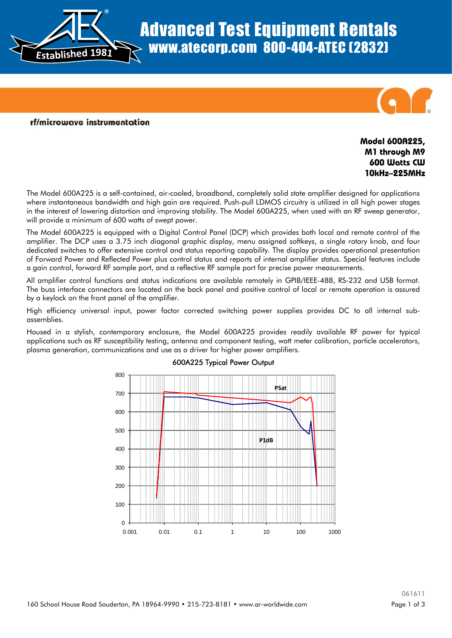

# Advanced Test Equipment Rentals www.atecorp.com 800-404-ATEC (2832)



### rf/microwave instrumentation

## **Model 600A225, M1 through M9 600 Watts CW 10kHz–225MHz**

The Model 600A225 is a self-contained, air-cooled, broadband, completely solid state amplifier designed for applications where instantaneous bandwidth and high gain are required. Push-pull LDMOS circuitry is utilized in all high power stages in the interest of lowering distortion and improving stability. The Model 600A225, when used with an RF sweep generator, will provide a minimum of 600 watts of swept power.

The Model 600A225 is equipped with a Digital Control Panel (DCP) which provides both local and remote control of the amplifier. The DCP uses a 3.75 inch diagonal graphic display, menu assigned softkeys, a single rotary knob, and four dedicated switches to offer extensive control and status reporting capability. The display provides operational presentation of Forward Power and Reflected Power plus control status and reports of internal amplifier status. Special features include a gain control, forward RF sample port, and a reflective RF sample port for precise power measurements.

All amplifier control functions and status indications are available remotely in GPIB/IEEE-488, RS-232 and USB format. The buss interface connectors are located on the back panel and positive control of local or remote operation is assured by a keylock on the front panel of the amplifier.

High efficiency universal input, power factor corrected switching power supplies provides DC to all internal subassemblies.

Housed in a stylish, contemporary enclosure, the Model 600A225 provides readily available RF power for typical applications such as RF susceptibility testing, antenna and component testing, watt meter calibration, particle accelerators, plasma generation, communications and use as a driver for higher power amplifiers.



## 600A225 Typical Power Output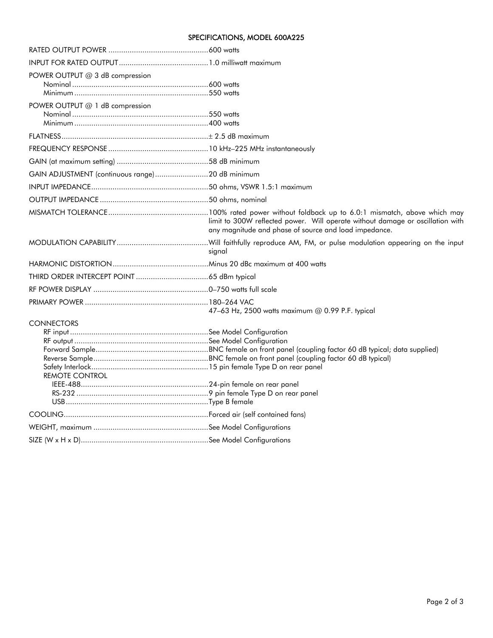### SPECIFICATIONS, MODEL 600A225

| POWER OUTPUT @ 3 dB compression                 |                                                                                                                                         |  |  |  |
|-------------------------------------------------|-----------------------------------------------------------------------------------------------------------------------------------------|--|--|--|
| POWER OUTPUT @ 1 dB compression                 |                                                                                                                                         |  |  |  |
|                                                 |                                                                                                                                         |  |  |  |
|                                                 |                                                                                                                                         |  |  |  |
|                                                 |                                                                                                                                         |  |  |  |
| GAIN ADJUSTMENT (continuous range)20 dB minimum |                                                                                                                                         |  |  |  |
|                                                 |                                                                                                                                         |  |  |  |
|                                                 |                                                                                                                                         |  |  |  |
|                                                 | limit to 300W reflected power. Will operate without damage or oscillation with<br>any magnitude and phase of source and load impedance. |  |  |  |
|                                                 | signal                                                                                                                                  |  |  |  |
|                                                 |                                                                                                                                         |  |  |  |
|                                                 |                                                                                                                                         |  |  |  |
|                                                 |                                                                                                                                         |  |  |  |
|                                                 | 47-63 Hz, 2500 watts maximum @ 0.99 P.F. typical                                                                                        |  |  |  |
| <b>CONNECTORS</b><br><b>REMOTE CONTROL</b>      |                                                                                                                                         |  |  |  |
|                                                 |                                                                                                                                         |  |  |  |
|                                                 |                                                                                                                                         |  |  |  |
|                                                 |                                                                                                                                         |  |  |  |
|                                                 |                                                                                                                                         |  |  |  |
|                                                 |                                                                                                                                         |  |  |  |